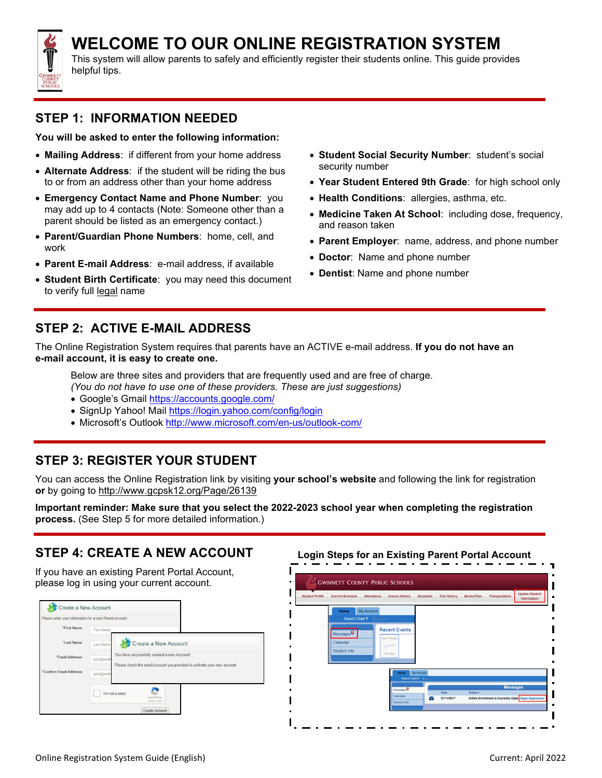

# **WELCOME TO OUR ONLINE REGISTRATION SYSTEM**

This system will allow parents to safely and efficiently register their students online. This guide provides helpful tips.

#### **STEP 1: INFORMATION NEEDED**

**You will be asked to enter the following information:**

- **Mailing Address**: if different from your home address
- **Alternate Address**: if the student will be riding the bus to or from an address other than your home address
- **Emergency Contact Name and Phone Number**: you may add up to 4 contacts (Note: Someone other than a parent should be listed as an emergency contact.)
- **Parent/Guardian Phone Numbers**: home, cell, and work
- **Parent E-mail Address**: e-mail address, if available
- **Student Birth Certificate**: you may need this document to verify full legal name
- **Student Social Security Number**: student's social security number
- **Year Student Entered 9th Grade**: for high school only
- **Health Conditions**: allergies, asthma, etc.
- **Medicine Taken At School**: including dose, frequency, and reason taken
- **Parent Employer**: name, address, and phone number
- **Doctor**: Name and phone number
- **Dentist**: Name and phone number

#### **STEP 2: ACTIVE E-MAIL ADDRESS**

The Online Registration System requires that parents have an ACTIVE e-mail address. **If you do not have an e-mail account, it is easy to create one.**

Below are three sites and providers that are frequently used and are free of charge. *(You do not have to use one of these providers. These are just suggestions)*

- Google's Gmail <https://accounts.google.com/>
- SignUp Yahoo! Mail <https://login.yahoo.com/config/login>
- Microsoft's Outlook <http://www.microsoft.com/en-us/outlook-com/>

#### **STEP 3: REGISTER YOUR STUDENT**

You can access the Online Registration link by visiting **your school's website** and following the link for registration **or** by going to <http://www.gcpsk12.org/Page/26139>

**Important reminder: Make sure that you select the 2022-2023 school year when completing the registration process.** (See Step 5 for more detailed information.)

#### **STEP 4: CREATE A NEW ACCOUNT**

If you have an existing Parent Portal Account, please log in using your current account.



**Login Steps for an Existing Parent Portal Account**

| <b>Student Profile</b> | <b>Current Schedule</b> | <b>Course History</b><br><b>Attendance</b> | <b>Discipline</b> | <b>Test History</b> | <b>Books/Fees</b> | <b>Update Student</b><br><b>Transportation</b><br>Information |
|------------------------|-------------------------|--------------------------------------------|-------------------|---------------------|-------------------|---------------------------------------------------------------|
|                        | My Account<br>Home      |                                            |                   |                     |                   |                                                               |
|                        | Select Child            | 整洁学生                                       |                   |                     |                   |                                                               |
|                        |                         | <b>Recent Events</b>                       |                   |                     |                   |                                                               |
|                        | Messages <sup>0</sup>   |                                            |                   |                     |                   |                                                               |
|                        | Calendar                | No Photo                                   |                   |                     |                   |                                                               |
|                        | Student Info            | Edupoint                                   |                   |                     |                   |                                                               |
|                        |                         | On file                                    |                   |                     |                   |                                                               |
|                        |                         |                                            |                   |                     |                   |                                                               |
|                        |                         | Home                                       | My Account        |                     |                   |                                                               |
|                        |                         | Select Child > Education                   |                   |                     |                   |                                                               |
|                        |                         | Messages <sup>0</sup>                      |                   |                     |                   | <b>Messages</b>                                               |
|                        |                         | Calendar                                   |                   | Date                | Subject           |                                                               |
|                        |                         | Student Info                               | Z                 | 07/11/2017          |                   | Online Enrollment is Currently Open Begin Registration        |